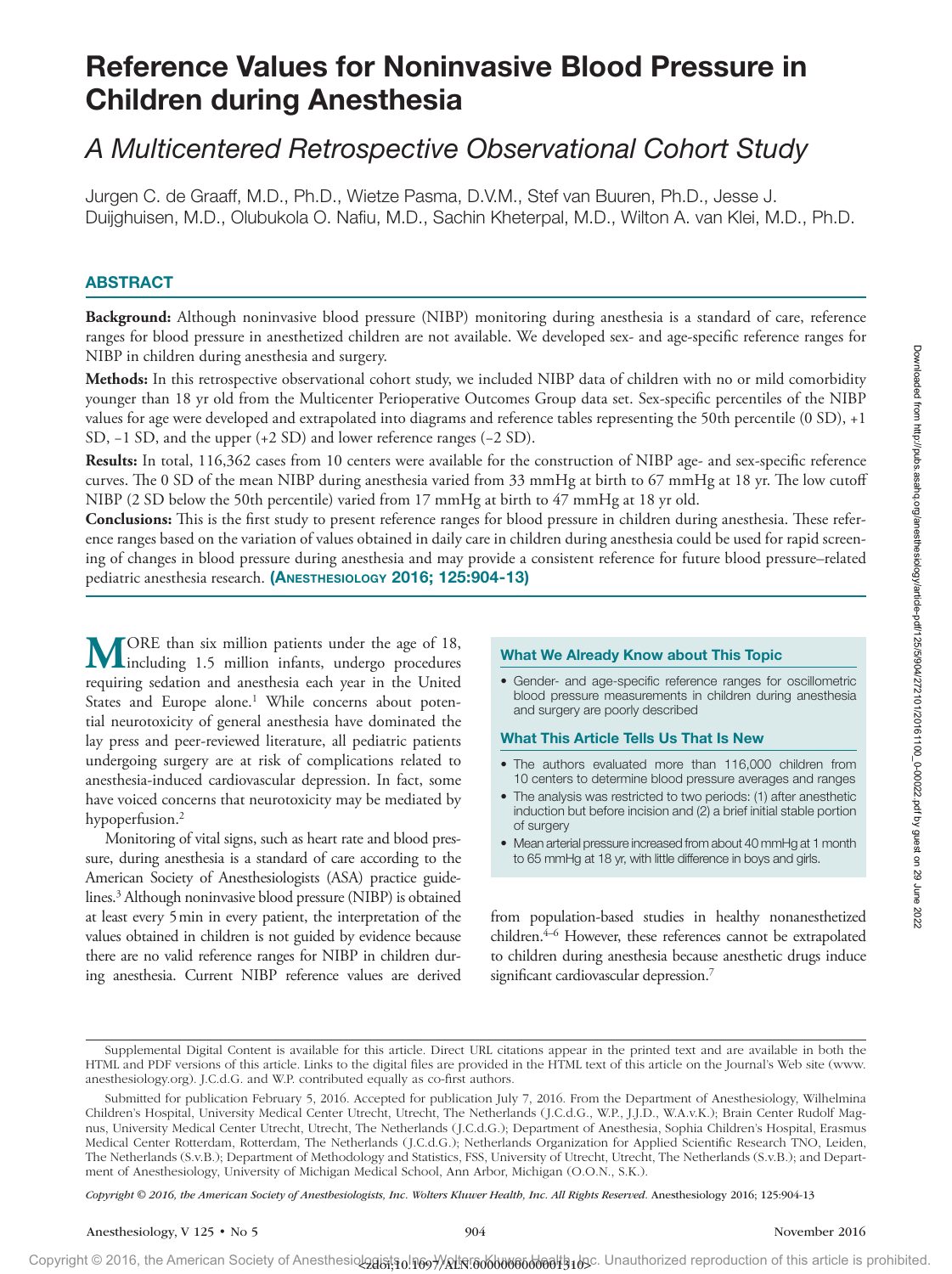# Reference Values for Noninvasive Blood Pressure in Children during Anesthesia

# *A Multicentered Retrospective Observational Cohort Study*

Jurgen C. de Graaff, M.D., Ph.D., Wietze Pasma, D.V.M., Stef van Buuren, Ph.D., Jesse J. Duijghuisen, M.D., Olubukola O. Nafiu, M.D., Sachin Kheterpal, M.D., Wilton A. van Klei, M.D., Ph.D.

### ABSTRACT

**Background:** Although noninvasive blood pressure (NIBP) monitoring during anesthesia is a standard of care, reference ranges for blood pressure in anesthetized children are not available. We developed sex- and age-specific reference ranges for NIBP in children during anesthesia and surgery.

**Methods:** In this retrospective observational cohort study, we included NIBP data of children with no or mild comorbidity younger than 18 yr old from the Multicenter Perioperative Outcomes Group data set. Sex-specific percentiles of the NIBP values for age were developed and extrapolated into diagrams and reference tables representing the 50th percentile (0 SD), +1 SD, −1 SD, and the upper (+2 SD) and lower reference ranges (−2 SD).

**Results:** In total, 116,362 cases from 10 centers were available for the construction of NIBP age- and sex-specific reference curves. The 0 SD of the mean NIBP during anesthesia varied from 33 mmHg at birth to 67 mmHg at 18 yr. The low cutoff NIBP (2 SD below the 50th percentile) varied from 17 mmHg at birth to 47 mmHg at 18 yr old.

**Conclusions:** This is the first study to present reference ranges for blood pressure in children during anesthesia. These reference ranges based on the variation of values obtained in daily care in children during anesthesia could be used for rapid screening of changes in blood pressure during anesthesia and may provide a consistent reference for future blood pressure–related pediatric anesthesia research. (Anesthesiology 2016; 125:904-13)

**MORE** than six million patients under the age of 18,<br>including 1.5 million infants, undergo procedures requiring sedation and anesthesia each year in the United States and Europe alone.<sup>1</sup> While concerns about potential neurotoxicity of general anesthesia have dominated the lay press and peer-reviewed literature, all pediatric patients undergoing surgery are at risk of complications related to anesthesia-induced cardiovascular depression. In fact, some have voiced concerns that neurotoxicity may be mediated by hypoperfusion.<sup>2</sup>

Monitoring of vital signs, such as heart rate and blood pressure, during anesthesia is a standard of care according to the American Society of Anesthesiologists (ASA) practice guidelines.3 Although noninvasive blood pressure (NIBP) is obtained at least every 5min in every patient, the interpretation of the values obtained in children is not guided by evidence because there are no valid reference ranges for NIBP in children during anesthesia. Current NIBP reference values are derived

### What We Already Know about This Topic

• Gender- and age-specific reference ranges for oscillometric blood pressure measurements in children during anesthesia and surgery are poorly described

### What This Article Tells Us That Is New

- The authors evaluated more than 116,000 children from 10 centers to determine blood pressure averages and ranges
- The analysis was restricted to two periods: (1) after anesthetic induction but before incision and (2) a brief initial stable portion of surgery
- Mean arterial pressure increased from about 40 mmHg at 1 month to 65 mmHg at 18 yr, with little difference in boys and girls.

from population-based studies in healthy nonanesthetized children.<sup>4–6</sup> However, these references cannot be extrapolated to children during anesthesia because anesthetic drugs induce significant cardiovascular depression.<sup>7</sup>

*Copyright © 2016, the American Society of Anesthesiologists, Inc. Wolters Kluwer Health, Inc. All Rights Reserved.* Anesthesiology 2016; 125:904-13

Supplemental Digital Content is available for this article. Direct URL citations appear in the printed text and are available in both the HTML and PDF versions of this article. Links to the digital files are provided in the HTML text of this article on the Journal's Web site [\(www.](http://www.anesthesiology.org) [anesthesiology.org](http://www.anesthesiology.org)). J.C.d.G. and W.P. contributed equally as co-first authors.

Submitted for publication February 5, 2016. Accepted for publication July 7, 2016. From the Department of Anesthesiology, Wilhelmina Children's Hospital, University Medical Center Utrecht, Utrecht, The Netherlands (J.C.d.G., W.P., J.J.D., W.A.v.K.); Brain Center Rudolf Magnus, University Medical Center Utrecht, Utrecht, The Netherlands (J.C.d.G.); Department of Anesthesia, Sophia Children's Hospital, Erasmus Medical Center Rotterdam, Rotterdam, The Netherlands (J.C.d.G.); Netherlands Organization for Applied Scientific Research TNO, Leiden, The Netherlands (S.v.B.); Department of Methodology and Statistics, FSS, University of Utrecht, Utrecht, The Netherlands (S.v.B.); and Department of Anesthesiology, University of Michigan Medical School, Ann Arbor, Michigan (O.O.N., S.K.).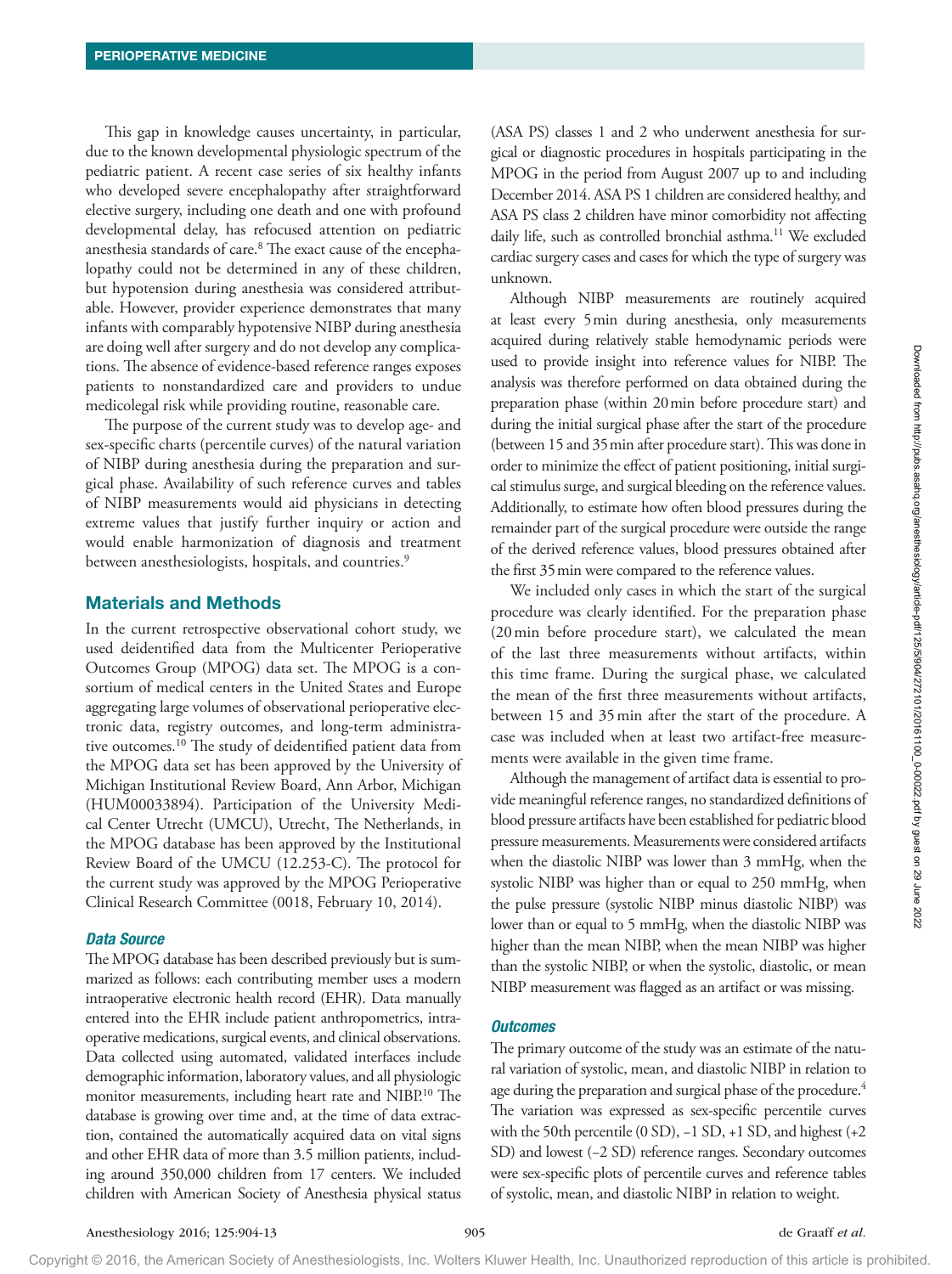This gap in knowledge causes uncertainty, in particular, due to the known developmental physiologic spectrum of the pediatric patient. A recent case series of six healthy infants who developed severe encephalopathy after straightforward elective surgery, including one death and one with profound developmental delay, has refocused attention on pediatric anesthesia standards of care.<sup>8</sup> The exact cause of the encephalopathy could not be determined in any of these children, but hypotension during anesthesia was considered attributable. However, provider experience demonstrates that many infants with comparably hypotensive NIBP during anesthesia are doing well after surgery and do not develop any complications. The absence of evidence-based reference ranges exposes patients to nonstandardized care and providers to undue medicolegal risk while providing routine, reasonable care.

The purpose of the current study was to develop age- and sex-specific charts (percentile curves) of the natural variation of NIBP during anesthesia during the preparation and surgical phase. Availability of such reference curves and tables of NIBP measurements would aid physicians in detecting extreme values that justify further inquiry or action and would enable harmonization of diagnosis and treatment between anesthesiologists, hospitals, and countries.<sup>9</sup>

### Materials and Methods

In the current retrospective observational cohort study, we used deidentified data from the Multicenter Perioperative Outcomes Group (MPOG) data set. The MPOG is a consortium of medical centers in the United States and Europe aggregating large volumes of observational perioperative electronic data, registry outcomes, and long-term administrative outcomes.10 The study of deidentified patient data from the MPOG data set has been approved by the University of Michigan Institutional Review Board, Ann Arbor, Michigan (HUM00033894). Participation of the University Medical Center Utrecht (UMCU), Utrecht, The Netherlands, in the MPOG database has been approved by the Institutional Review Board of the UMCU (12.253-C). The protocol for the current study was approved by the MPOG Perioperative Clinical Research Committee (0018, February 10, 2014).

### *Data Source*

The MPOG database has been described previously but is summarized as follows: each contributing member uses a modern intraoperative electronic health record (EHR). Data manually entered into the EHR include patient anthropometrics, intraoperative medications, surgical events, and clinical observations. Data collected using automated, validated interfaces include demographic information, laboratory values, and all physiologic monitor measurements, including heart rate and NIBP.10 The database is growing over time and, at the time of data extraction, contained the automatically acquired data on vital signs and other EHR data of more than 3.5 million patients, including around 350,000 children from 17 centers. We included children with American Society of Anesthesia physical status

(ASA PS) classes 1 and 2 who underwent anesthesia for surgical or diagnostic procedures in hospitals participating in the MPOG in the period from August 2007 up to and including December 2014. ASA PS 1 children are considered healthy, and ASA PS class 2 children have minor comorbidity not affecting daily life, such as controlled bronchial asthma.<sup>11</sup> We excluded cardiac surgery cases and cases for which the type of surgery was unknown.

Although NIBP measurements are routinely acquired at least every 5min during anesthesia, only measurements acquired during relatively stable hemodynamic periods were used to provide insight into reference values for NIBP. The analysis was therefore performed on data obtained during the preparation phase (within 20min before procedure start) and during the initial surgical phase after the start of the procedure (between 15 and 35min after procedure start). This was done in order to minimize the effect of patient positioning, initial surgical stimulus surge, and surgical bleeding on the reference values. Additionally, to estimate how often blood pressures during the remainder part of the surgical procedure were outside the range of the derived reference values, blood pressures obtained after the first 35min were compared to the reference values.

We included only cases in which the start of the surgical procedure was clearly identified. For the preparation phase (20min before procedure start), we calculated the mean of the last three measurements without artifacts, within this time frame. During the surgical phase, we calculated the mean of the first three measurements without artifacts, between 15 and 35min after the start of the procedure. A case was included when at least two artifact-free measurements were available in the given time frame.

Although the management of artifact data is essential to provide meaningful reference ranges, no standardized definitions of blood pressure artifacts have been established for pediatric blood pressure measurements. Measurements were considered artifacts when the diastolic NIBP was lower than 3 mmHg, when the systolic NIBP was higher than or equal to 250 mmHg, when the pulse pressure (systolic NIBP minus diastolic NIBP) was lower than or equal to 5 mmHg, when the diastolic NIBP was higher than the mean NIBP, when the mean NIBP was higher than the systolic NIBP, or when the systolic, diastolic, or mean NIBP measurement was flagged as an artifact or was missing.

### *Outcomes*

The primary outcome of the study was an estimate of the natural variation of systolic, mean, and diastolic NIBP in relation to age during the preparation and surgical phase of the procedure.<sup>4</sup> The variation was expressed as sex-specific percentile curves with the 50th percentile (0 SD), -1 SD, +1 SD, and highest (+2 SD) and lowest (−2 SD) reference ranges. Secondary outcomes were sex-specific plots of percentile curves and reference tables of systolic, mean, and diastolic NIBP in relation to weight.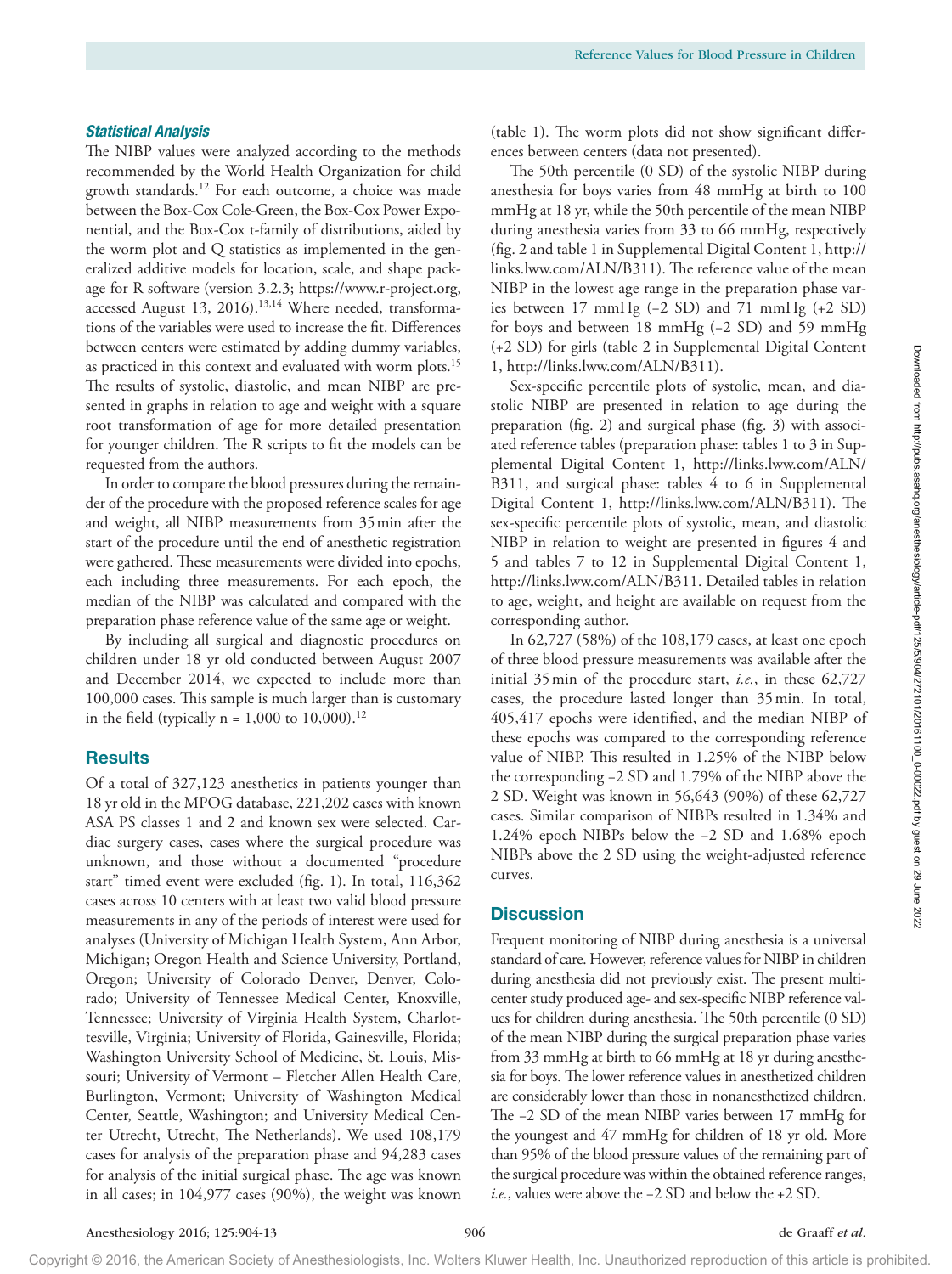## *Statistical Analysis*

The NIBP values were analyzed according to the methods recommended by the World Health Organization for child growth standards.12 For each outcome, a choice was made between the Box-Cox Cole-Green, the Box-Cox Power Exponential, and the Box-Cox t-family of distributions, aided by the worm plot and Q statistics as implemented in the generalized additive models for location, scale, and shape package for R software (version 3.2.3; [https://www.r-project.org,](https://www.r-project.org) accessed August 13, 2016).<sup>13,14</sup> Where needed, transformations of the variables were used to increase the fit. Differences between centers were estimated by adding dummy variables, as practiced in this context and evaluated with worm plots.<sup>15</sup> The results of systolic, diastolic, and mean NIBP are presented in graphs in relation to age and weight with a square root transformation of age for more detailed presentation for younger children. The R scripts to fit the models can be requested from the authors.

In order to compare the blood pressures during the remainder of the procedure with the proposed reference scales for age and weight, all NIBP measurements from 35min after the start of the procedure until the end of anesthetic registration were gathered. These measurements were divided into epochs, each including three measurements. For each epoch, the median of the NIBP was calculated and compared with the preparation phase reference value of the same age or weight.

By including all surgical and diagnostic procedures on children under 18 yr old conducted between August 2007 and December 2014, we expected to include more than 100,000 cases. This sample is much larger than is customary in the field (typically  $n = 1,000$  to 10,000).<sup>12</sup>

# **Results**

Of a total of 327,123 anesthetics in patients younger than 18 yr old in the MPOG database, 221,202 cases with known ASA PS classes 1 and 2 and known sex were selected. Cardiac surgery cases, cases where the surgical procedure was unknown, and those without a documented "procedure start" timed event were excluded (fig. 1). In total, 116,362 cases across 10 centers with at least two valid blood pressure measurements in any of the periods of interest were used for analyses (University of Michigan Health System, Ann Arbor, Michigan; Oregon Health and Science University, Portland, Oregon; University of Colorado Denver, Denver, Colorado; University of Tennessee Medical Center, Knoxville, Tennessee; University of Virginia Health System, Charlottesville, Virginia; University of Florida, Gainesville, Florida; Washington University School of Medicine, St. Louis, Missouri; University of Vermont – Fletcher Allen Health Care, Burlington, Vermont; University of Washington Medical Center, Seattle, Washington; and University Medical Center Utrecht, Utrecht, The Netherlands). We used 108,179 cases for analysis of the preparation phase and 94,283 cases for analysis of the initial surgical phase. The age was known in all cases; in 104,977 cases (90%), the weight was known

(table 1). The worm plots did not show significant differences between centers (data not presented).

The 50th percentile (0 SD) of the systolic NIBP during anesthesia for boys varies from 48 mmHg at birth to 100 mmHg at 18 yr, while the 50th percentile of the mean NIBP during anesthesia varies from 33 to 66 mmHg, respectively (fig. 2 and table 1 in Supplemental Digital Content 1, [http://](http://links.lww.com/ALN/B311) [links.lww.com/ALN/B311\)](http://links.lww.com/ALN/B311). The reference value of the mean NIBP in the lowest age range in the preparation phase varies between 17 mmHg (−2 SD) and 71 mmHg (+2 SD) for boys and between 18 mmHg (−2 SD) and 59 mmHg (+2 SD) for girls (table 2 in Supplemental Digital Content 1, <http://links.lww.com/ALN/B311>).

Sex-specific percentile plots of systolic, mean, and diastolic NIBP are presented in relation to age during the preparation (fig. 2) and surgical phase (fig. 3) with associated reference tables (preparation phase: tables 1 to 3 in Supplemental Digital Content 1, [http://links.lww.com/ALN/](http://links.lww.com/ALN/B311) [B311,](http://links.lww.com/ALN/B311) and surgical phase: tables 4 to 6 in Supplemental Digital Content 1, <http://links.lww.com/ALN/B311>). The sex-specific percentile plots of systolic, mean, and diastolic NIBP in relation to weight are presented in figures 4 and 5 and tables 7 to 12 in Supplemental Digital Content 1, <http://links.lww.com/ALN/B311>. Detailed tables in relation to age, weight, and height are available on request from the corresponding author.

In 62,727 (58%) of the 108,179 cases, at least one epoch of three blood pressure measurements was available after the initial 35min of the procedure start, *i.e.*, in these 62,727 cases, the procedure lasted longer than 35min. In total, 405,417 epochs were identified, and the median NIBP of these epochs was compared to the corresponding reference value of NIBP. This resulted in 1.25% of the NIBP below the corresponding −2 SD and 1.79% of the NIBP above the 2 SD. Weight was known in 56,643 (90%) of these 62,727 cases. Similar comparison of NIBPs resulted in 1.34% and 1.24% epoch NIBPs below the −2 SD and 1.68% epoch NIBPs above the 2 SD using the weight-adjusted reference curves.

# **Discussion**

Frequent monitoring of NIBP during anesthesia is a universal standard of care. However, reference values for NIBP in children during anesthesia did not previously exist. The present multicenter study produced age- and sex-specific NIBP reference values for children during anesthesia. The 50th percentile (0 SD) of the mean NIBP during the surgical preparation phase varies from 33 mmHg at birth to 66 mmHg at 18 yr during anesthesia for boys. The lower reference values in anesthetized children are considerably lower than those in nonanesthetized children. The −2 SD of the mean NIBP varies between 17 mmHg for the youngest and 47 mmHg for children of 18 yr old. More than 95% of the blood pressure values of the remaining part of the surgical procedure was within the obtained reference ranges, *i.e.*, values were above the −2 SD and below the +2 SD.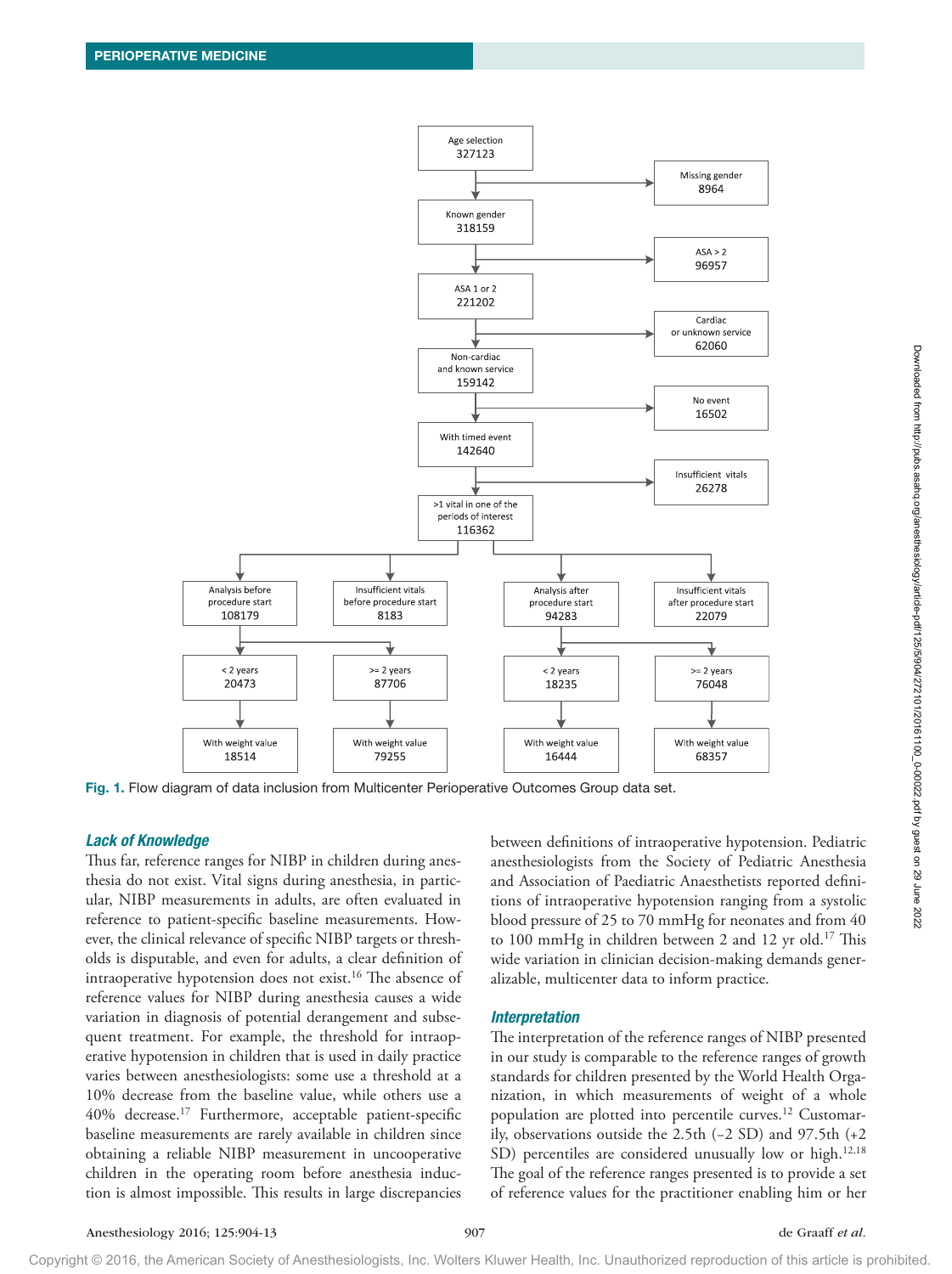

Fig. 1. Flow diagram of data inclusion from Multicenter Perioperative Outcomes Group data set.

### *Lack of Knowledge*

Thus far, reference ranges for NIBP in children during anesthesia do not exist. Vital signs during anesthesia, in particular, NIBP measurements in adults, are often evaluated in reference to patient-specific baseline measurements. However, the clinical relevance of specific NIBP targets or thresholds is disputable, and even for adults, a clear definition of intraoperative hypotension does not exist.<sup>16</sup> The absence of reference values for NIBP during anesthesia causes a wide variation in diagnosis of potential derangement and subsequent treatment. For example, the threshold for intraoperative hypotension in children that is used in daily practice varies between anesthesiologists: some use a threshold at a 10% decrease from the baseline value, while others use a 40% decrease.17 Furthermore, acceptable patient-specific baseline measurements are rarely available in children since obtaining a reliable NIBP measurement in uncooperative children in the operating room before anesthesia induction is almost impossible. This results in large discrepancies

between definitions of intraoperative hypotension. Pediatric anesthesiologists from the Society of Pediatric Anesthesia and Association of Paediatric Anaesthetists reported definitions of intraoperative hypotension ranging from a systolic blood pressure of 25 to 70 mmHg for neonates and from 40 to 100 mmHg in children between 2 and 12 yr old.<sup>17</sup> This wide variation in clinician decision-making demands generalizable, multicenter data to inform practice.

#### *Interpretation*

The interpretation of the reference ranges of NIBP presented in our study is comparable to the reference ranges of growth standards for children presented by the World Health Organization, in which measurements of weight of a whole population are plotted into percentile curves.<sup>12</sup> Customarily, observations outside the 2.5th (−2 SD) and 97.5th (+2 SD) percentiles are considered unusually low or high.<sup>12,18</sup> The goal of the reference ranges presented is to provide a set of reference values for the practitioner enabling him or her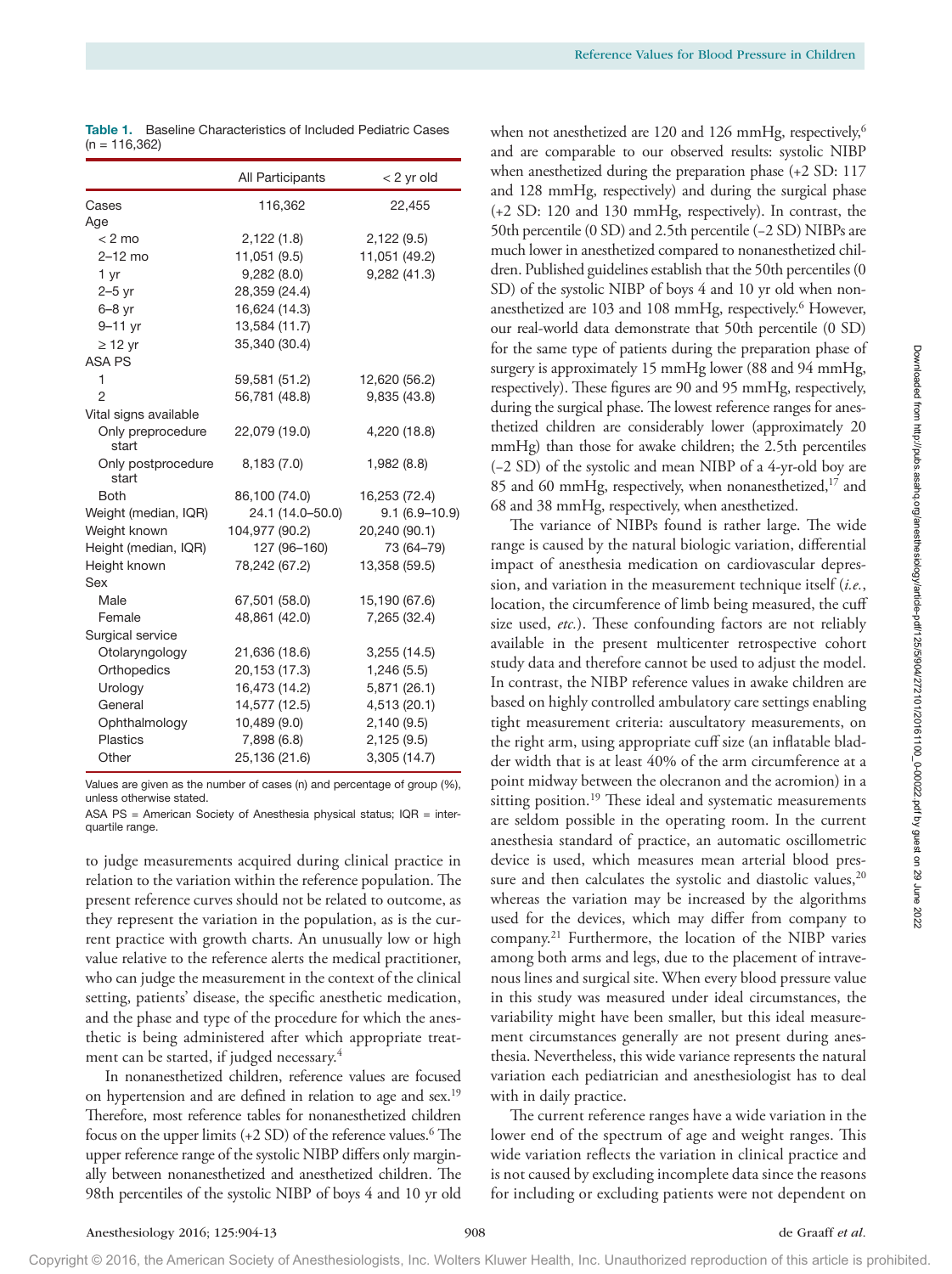|                             | All Participants | $<$ 2 yr old      |
|-----------------------------|------------------|-------------------|
| Cases                       | 116,362          | 22,455            |
| Age                         |                  |                   |
| $< 2$ mo                    | 2,122 (1.8)      | 2,122(9.5)        |
| $2-12$ mo                   | 11,051 (9.5)     | 11,051 (49.2)     |
| 1 yr                        | 9,282(8.0)       | 9,282 (41.3)      |
| $2-5$ yr                    | 28,359 (24.4)    |                   |
| $6-8$ yr                    | 16,624 (14.3)    |                   |
| 9-11 yr                     | 13,584 (11.7)    |                   |
| $\geq$ 12 yr                | 35,340 (30.4)    |                   |
| <b>ASA PS</b>               |                  |                   |
| 1                           | 59,581 (51.2)    | 12,620 (56.2)     |
| $\overline{2}$              | 56,781 (48.8)    | 9,835 (43.8)      |
| Vital signs available       |                  |                   |
| Only preprocedure<br>start  | 22,079 (19.0)    | 4,220 (18.8)      |
| Only postprocedure<br>start | 8,183(7.0)       | 1,982 (8.8)       |
| Both                        | 86,100 (74.0)    | 16,253 (72.4)     |
| Weight (median, IQR)        | 24.1 (14.0-50.0) | $9.1(6.9 - 10.9)$ |
| Weight known                | 104,977 (90.2)   | 20,240 (90.1)     |
| Height (median, IQR)        | 127 (96-160)     | 73 (64-79)        |
| Height known                | 78,242 (67.2)    | 13,358 (59.5)     |
| Sex                         |                  |                   |
| Male                        | 67,501 (58.0)    | 15,190 (67.6)     |
| Female                      | 48,861 (42.0)    | 7,265 (32.4)      |
| Surgical service            |                  |                   |
| Otolaryngology              | 21,636 (18.6)    | 3,255(14.5)       |
| Orthopedics                 | 20,153 (17.3)    | 1,246(5.5)        |
| Urology                     | 16,473 (14.2)    | 5,871 (26.1)      |
| General                     | 14,577 (12.5)    | 4,513 (20.1)      |
| Ophthalmology               | 10,489 (9.0)     | 2,140(9.5)        |
| Plastics                    | 7,898 (6.8)      | 2,125(9.5)        |
| Other                       | 25,136 (21.6)    | 3,305 (14.7)      |

Table 1. Baseline Characteristics of Included Pediatric Cases  $(n = 116, 362)$ 

Values are given as the number of cases (n) and percentage of group (%), unless otherwise stated.

ASA PS = American Society of Anesthesia physical status; IQR = interquartile range.

to judge measurements acquired during clinical practice in relation to the variation within the reference population. The present reference curves should not be related to outcome, as they represent the variation in the population, as is the current practice with growth charts. An unusually low or high value relative to the reference alerts the medical practitioner, who can judge the measurement in the context of the clinical setting, patients' disease, the specific anesthetic medication, and the phase and type of the procedure for which the anesthetic is being administered after which appropriate treatment can be started, if judged necessary.<sup>4</sup>

In nonanesthetized children, reference values are focused on hypertension and are defined in relation to age and sex.<sup>19</sup> Therefore, most reference tables for nonanesthetized children focus on the upper limits (+2 SD) of the reference values.<sup>6</sup> The upper reference range of the systolic NIBP differs only marginally between nonanesthetized and anesthetized children. The 98th percentiles of the systolic NIBP of boys 4 and 10 yr old

when not anesthetized are 120 and 126 mmHg, respectively,<sup>6</sup> and are comparable to our observed results: systolic NIBP when anesthetized during the preparation phase (+2 SD: 117 and 128 mmHg, respectively) and during the surgical phase (+2 SD: 120 and 130 mmHg, respectively). In contrast, the 50th percentile (0 SD) and 2.5th percentile (−2 SD) NIBPs are much lower in anesthetized compared to nonanesthetized children. Published guidelines establish that the 50th percentiles (0 SD) of the systolic NIBP of boys 4 and 10 yr old when nonanesthetized are 103 and 108 mmHg, respectively.<sup>6</sup> However, our real-world data demonstrate that 50th percentile (0 SD) for the same type of patients during the preparation phase of surgery is approximately 15 mmHg lower (88 and 94 mmHg, respectively). These figures are 90 and 95 mmHg, respectively, during the surgical phase. The lowest reference ranges for anesthetized children are considerably lower (approximately 20 mmHg) than those for awake children; the 2.5th percentiles (−2 SD) of the systolic and mean NIBP of a 4-yr-old boy are 85 and 60 mmHg, respectively, when nonanesthetized,<sup>17</sup> and 68 and 38 mmHg, respectively, when anesthetized.

The variance of NIBPs found is rather large. The wide range is caused by the natural biologic variation, differential impact of anesthesia medication on cardiovascular depression, and variation in the measurement technique itself (*i.e.*, location, the circumference of limb being measured, the cuff size used, *etc.*). These confounding factors are not reliably available in the present multicenter retrospective cohort study data and therefore cannot be used to adjust the model. In contrast, the NIBP reference values in awake children are based on highly controlled ambulatory care settings enabling tight measurement criteria: auscultatory measurements, on the right arm, using appropriate cuff size (an inflatable bladder width that is at least 40% of the arm circumference at a point midway between the olecranon and the acromion) in a sitting position.<sup>19</sup> These ideal and systematic measurements are seldom possible in the operating room. In the current anesthesia standard of practice, an automatic oscillometric device is used, which measures mean arterial blood pressure and then calculates the systolic and diastolic values,<sup>20</sup> whereas the variation may be increased by the algorithms used for the devices, which may differ from company to company.21 Furthermore, the location of the NIBP varies among both arms and legs, due to the placement of intravenous lines and surgical site. When every blood pressure value in this study was measured under ideal circumstances, the variability might have been smaller, but this ideal measurement circumstances generally are not present during anesthesia. Nevertheless, this wide variance represents the natural variation each pediatrician and anesthesiologist has to deal with in daily practice.

The current reference ranges have a wide variation in the lower end of the spectrum of age and weight ranges. This wide variation reflects the variation in clinical practice and is not caused by excluding incomplete data since the reasons for including or excluding patients were not dependent on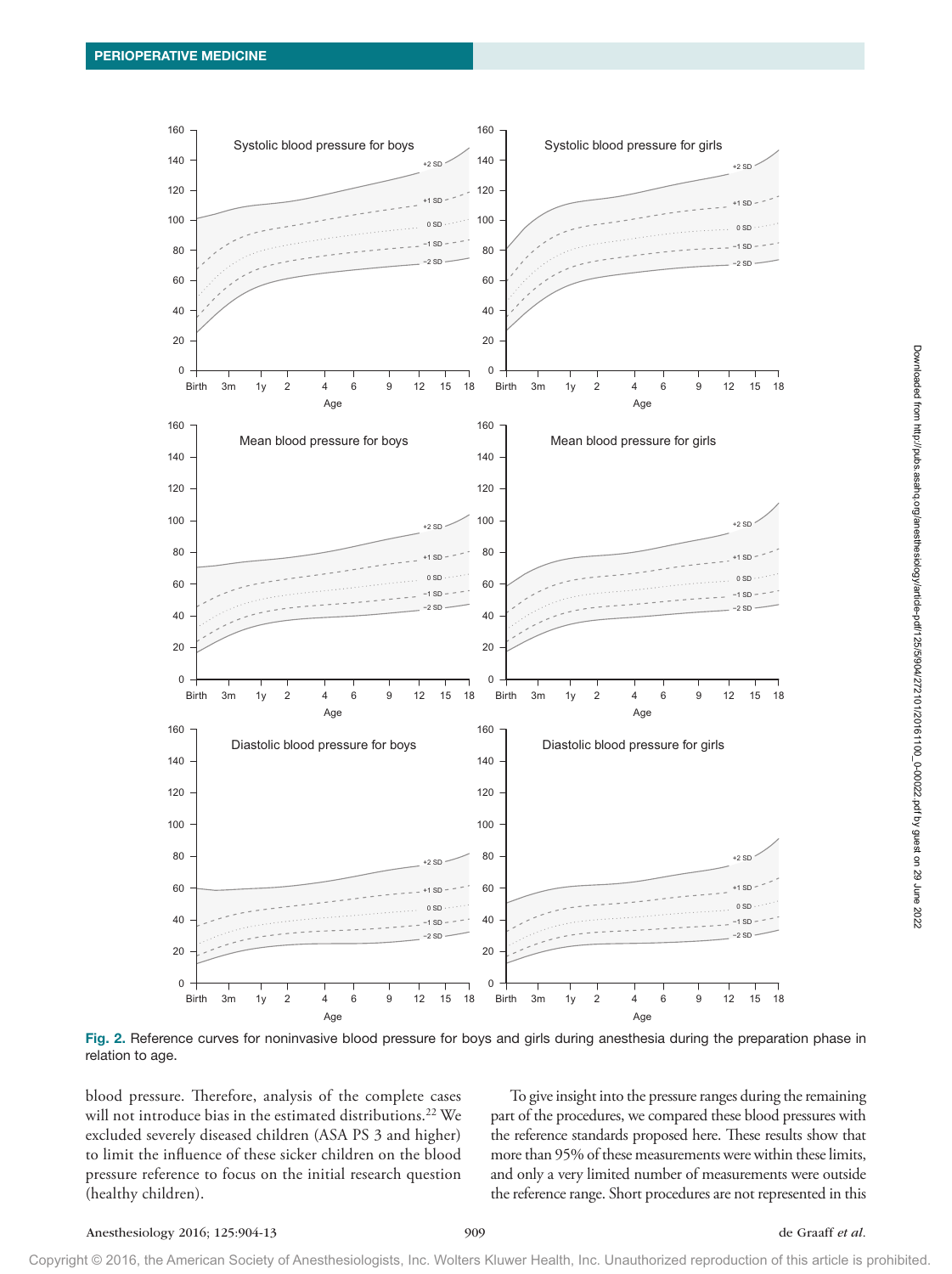

Fig. 2. Reference curves for noninvasive blood pressure for boys and girls during anesthesia during the preparation phase in relation to age.

blood pressure. Therefore, analysis of the complete cases will not introduce bias in the estimated distributions.<sup>22</sup> We excluded severely diseased children (ASA PS 3 and higher) to limit the influence of these sicker children on the blood pressure reference to focus on the initial research question (healthy children).

To give insight into the pressure ranges during the remaining part of the procedures, we compared these blood pressures with the reference standards proposed here. These results show that more than 95% of these measurements were within these limits, and only a very limited number of measurements were outside the reference range. Short procedures are not represented in this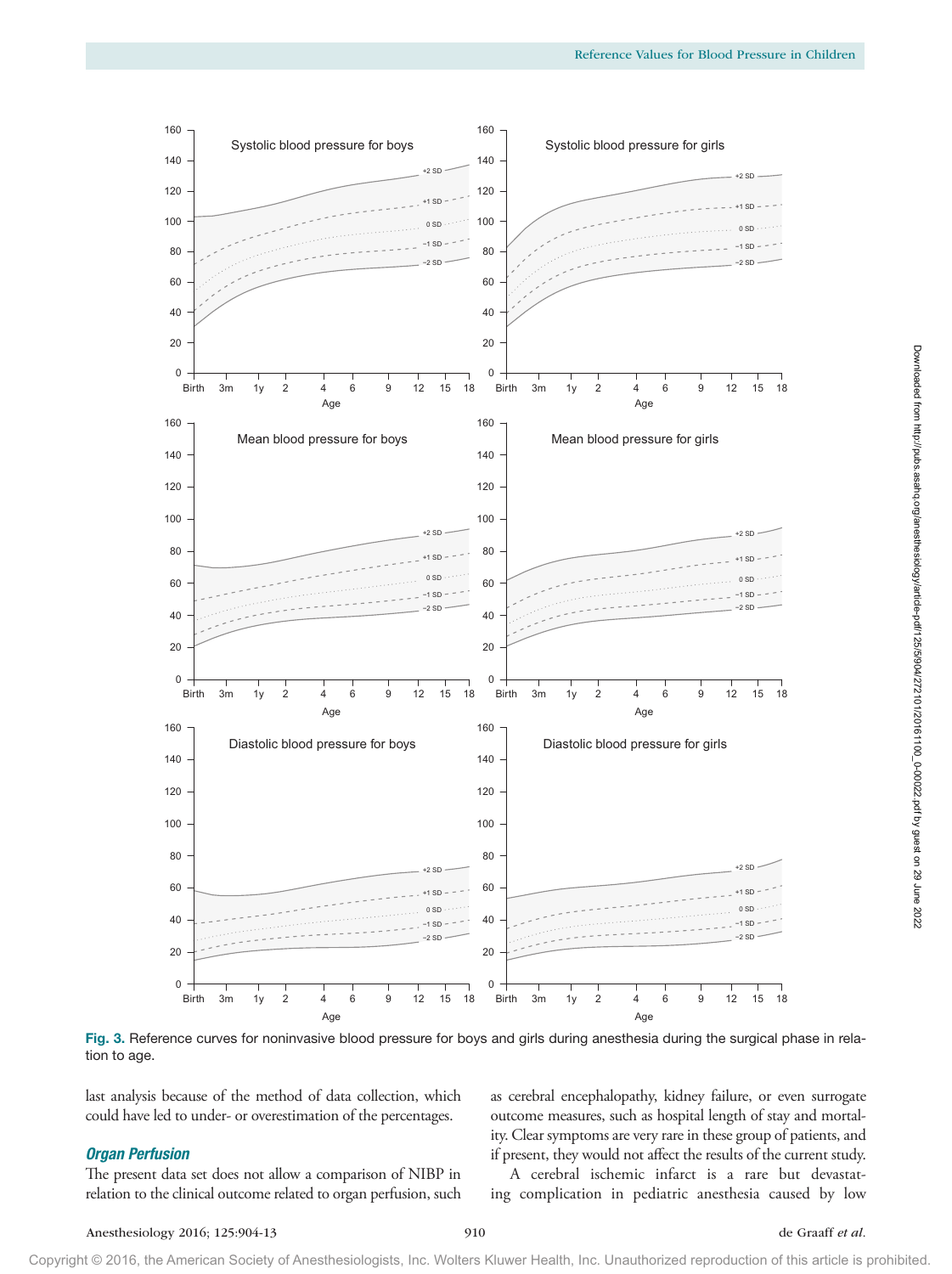

Fig. 3. Reference curves for noninvasive blood pressure for boys and girls during anesthesia during the surgical phase in relation to age.

last analysis because of the method of data collection, which could have led to under- or overestimation of the percentages.

#### *Organ Perfusion*

The present data set does not allow a comparison of NIBP in relation to the clinical outcome related to organ perfusion, such as cerebral encephalopathy, kidney failure, or even surrogate outcome measures, such as hospital length of stay and mortality. Clear symptoms are very rare in these group of patients, and if present, they would not affect the results of the current study.

A cerebral ischemic infarct is a rare but devastating complication in pediatric anesthesia caused by low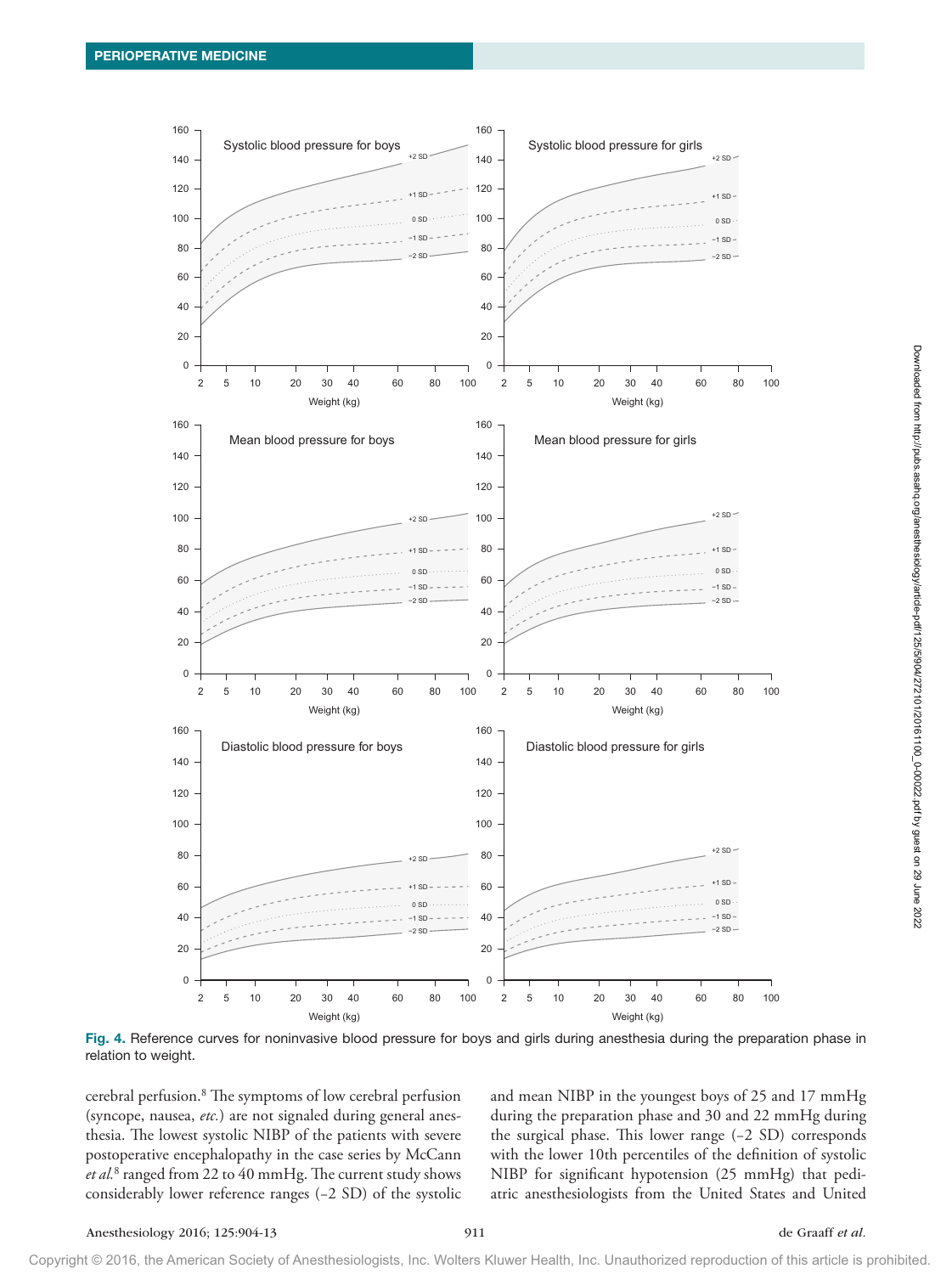

Fig. 4. Reference curves for noninvasive blood pressure for boys and girls during anesthesia during the preparation phase in relation to weight.

cerebral perfusion.8 The symptoms of low cerebral perfusion (syncope, nausea, *etc.*) are not signaled during general anesthesia. The lowest systolic NIBP of the patients with severe postoperative encephalopathy in the case series by McCann *et al.*<sup>8</sup> ranged from 22 to 40 mmHg. The current study shows considerably lower reference ranges (−2 SD) of the systolic

and mean NIBP in the youngest boys of 25 and 17 mmHg during the preparation phase and 30 and 22 mmHg during the surgical phase. This lower range (−2 SD) corresponds with the lower 10th percentiles of the definition of systolic NIBP for significant hypotension (25 mmHg) that pediatric anesthesiologists from the United States and United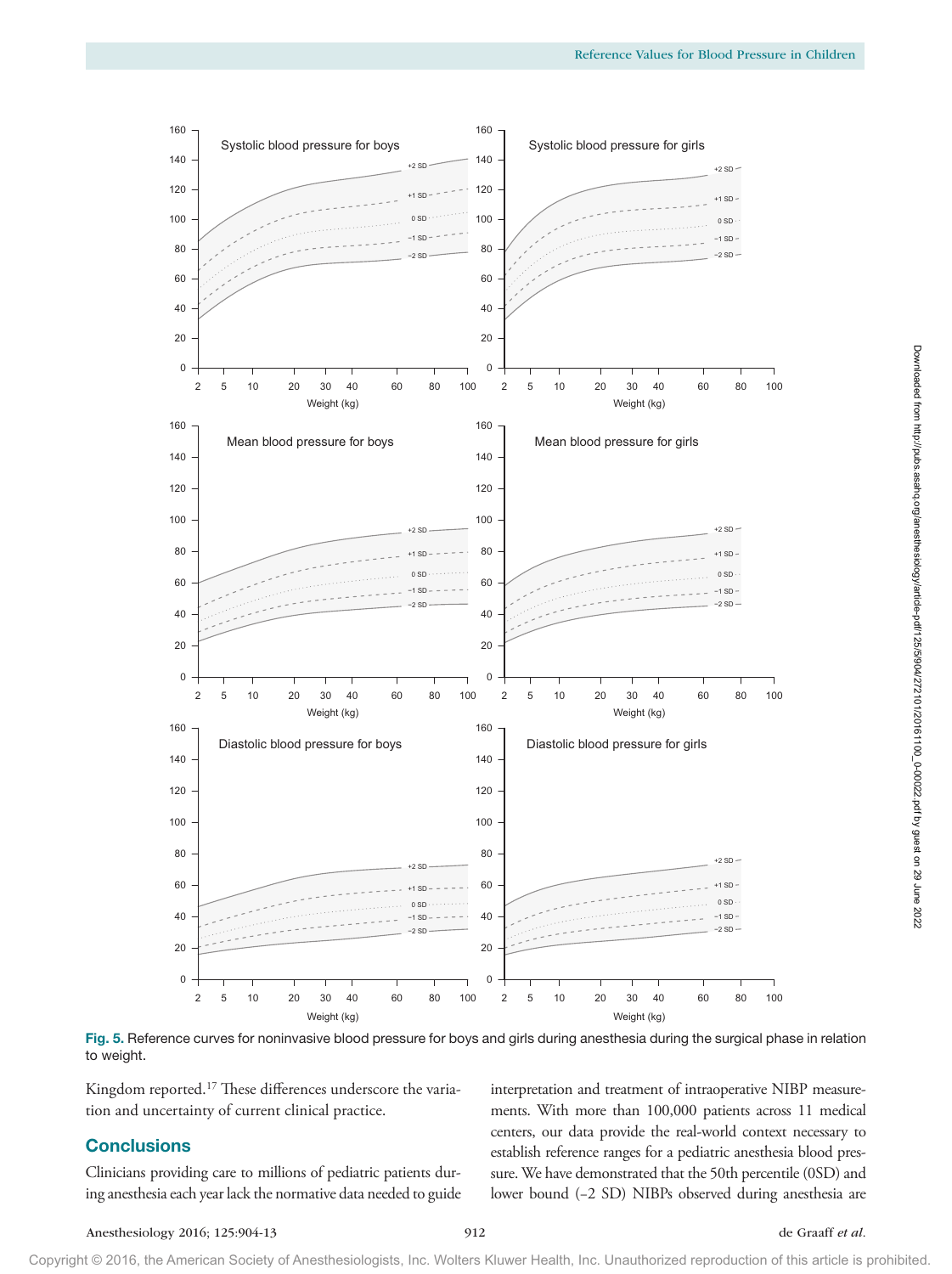

Fig. 5. Reference curves for noninvasive blood pressure for boys and girls during anesthesia during the surgical phase in relation to weight.

Kingdom reported.17 These differences underscore the variation and uncertainty of current clinical practice.

### **Conclusions**

Clinicians providing care to millions of pediatric patients during anesthesia each year lack the normative data needed to guide

| interpretation and treatment of intraoperative NIBP measure-      |  |  |
|-------------------------------------------------------------------|--|--|
| ments. With more than 100,000 patients across 11 medical          |  |  |
| centers, our data provide the real-world context necessary to     |  |  |
| establish reference ranges for a pediatric anesthesia blood pres- |  |  |
| sure. We have demonstrated that the 50th percentile (0SD) and     |  |  |
| lower bound (-2 SD) NIBPs observed during anesthesia are          |  |  |